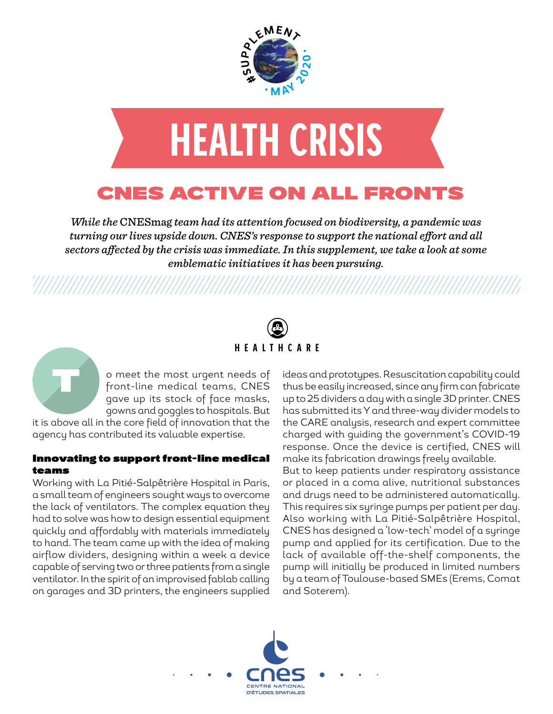



## CNES ACTIVE ON ALL FRONTS

*While the* CNESmag *team had its attention focused on biodiversity, a pandemic was turning our lives upside down. CNES's response to support the national effort and all sectors affected by the crisis was immediate. In this supplement, we take a look at some emblematic initiatives it has been pursuing.*

# **HEALTHCARE**

o meet the most urgent needs of front-line medical teams, CNES gave up its stock of face masks, gowns and goggles to hospitals. But

it is above all in the core field of innovation that the agency has contributed its valuable expertise.

T

### Innovating to support front-line medical teams

Working with La Pitié-Salpêtrière Hospital in Paris, a small team of engineers sought ways to overcome the lack of ventilators. The complex equation they had to solve was how to design essential equipment quickly and affordably with materials immediately to hand. The team came up with the idea of making airflow dividers, designing within a week a device capable of serving two or three patients from a single ventilator. In the spirit of an improvised fablab calling on garages and 3D printers, the engineers supplied ideas and prototypes. Resuscitation capability could thus be easily increased, since any firm can fabricate up to 25 dividers a day with a single 3D printer. CNES has submitted its Y and three-way divider models to the CARE analysis, research and expert committee charged with guiding the government's COVID-19 response. Once the device is certified, CNES will make its fabrication drawings freely available. But to keep patients under respiratory assistance or placed in a coma alive, nutritional substances and drugs need to be administered automatically. This requires six syringe pumps per patient per day. Also working with La Pitié-Salpêtrière Hospital, CNES has designed a 'low-tech' model of a syringe pump and applied for its certification. Due to the lack of available off-the-shelf components, the pump will initially be produced in limited numbers by a team of Toulouse-based SMEs (Erems, Comat and Soterem).

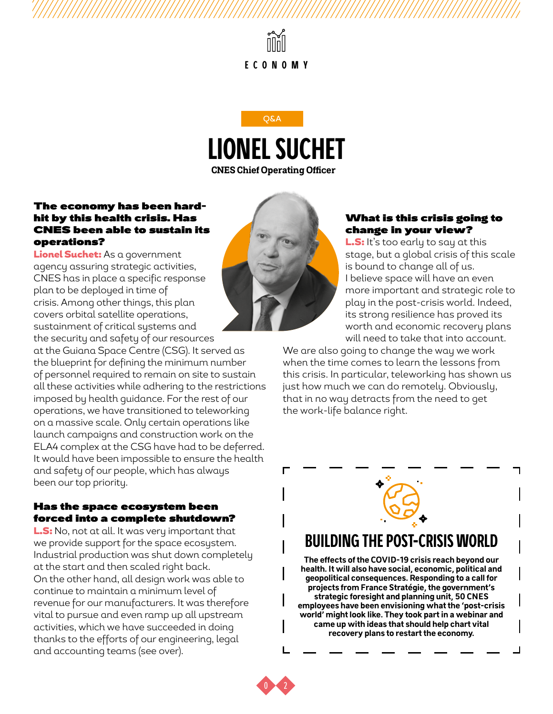



### The economy has been hardhit by this health crisis. Has CNES been able to sustain its operations?

Lionel Suchet: As a government agency assuring strategic activities, CNES has in place a specific response plan to be deployed in time of crisis. Among other things, this plan covers orbital satellite operations, sustainment of critical systems and the security and safety of our resources

at the Guiana Space Centre (CSG). It served as the blueprint for defining the minimum number of personnel required to remain on site to sustain all these activities while adhering to the restrictions imposed by health guidance. For the rest of our operations, we have transitioned to teleworking on a massive scale. Only certain operations like launch campaigns and construction work on the ELA4 complex at the CSG have had to be deferred. It would have been impossible to ensure the health and safety of our people, which has always been our top priority.

### Has the space ecosystem been forced into a complete shutdown?

L.S: No, not at all. It was very important that we provide support for the space ecosystem. Industrial production was shut down completely at the start and then scaled right back. On the other hand, all design work was able to continue to maintain a minimum level of revenue for our manufacturers. It was therefore vital to pursue and even ramp up all upstream activities, which we have succeeded in doing thanks to the efforts of our engineering, legal and accounting teams (see over).



L.S: It's too early to say at this stage, but a global crisis of this scale is bound to change all of us. I believe space will have an even more important and strategic role to play in the post-crisis world. Indeed, its strong resilience has proved its worth and economic recovery plans will need to take that into account.

We are also going to change the way we work when the time comes to learn the lessons from this crisis. In particular, teleworking has shown us just how much we can do remotely. Obviously, that in no way detracts from the need to get the work-life balance right.



### **BUILDING THE POST-CRISIS WORLD**

**The effects of the COVID-19 crisis reach beyond our health. It will also have social, economic, political and geopolitical consequences. Responding to a call for projects from France Stratégie, the government's strategic foresight and planning unit, 50 CNES employees have been envisioning what the 'post-crisis world' might look like. They took part in a webinar and came up with ideas that should help chart vital recovery plans to restart the economy.** 

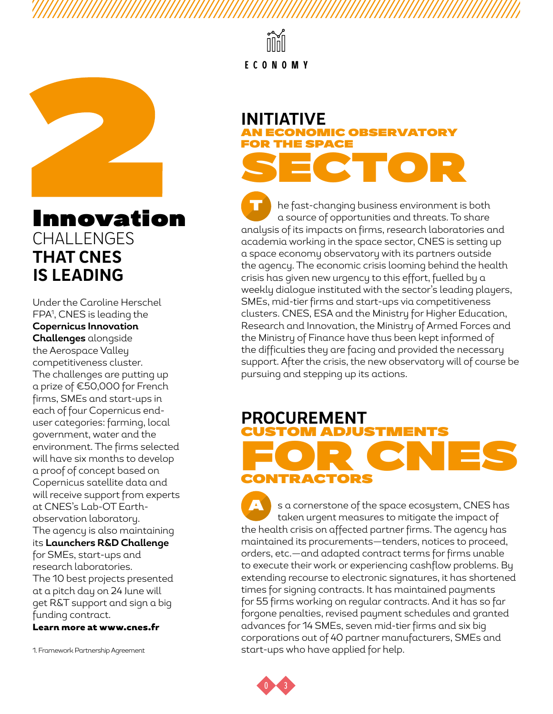

# Innovation CHALLENGES **THAT CNES IS LEADING**

Under the Caroline Herschel FPA1 , CNES is leading the **Copernicus Innovation Challenges** alongside the Aerospace Valley competitiveness cluster. The challenges are putting up a prize of €50,000 for French firms, SMEs and start-ups in each of four Copernicus enduser categories: farming, local government, water and the environment. The firms selected will have six months to develop a proof of concept based on Copernicus satellite data and will receive support from experts at CNES's Lab-OT Earthobservation laboratory. The agency is also maintaining its **Launchers R&D Challenge** for SMEs, start-ups and research laboratories. The 10 best projects presented at a pitch day on 24 June will get R&T support and sign a big funding contract.

Learn more at www.cnes.fr

1. Framework Partnership Agreement

**ECONOMY**

# **INITIATIVE** AN ECONOMIC OBSERVATORY **F SPACE** SECTOR

he fast-changing business environment is both a source of opportunities and threats. To share analysis of its impacts on firms, research laboratories and academia working in the space sector, CNES is setting up a space economy observatory with its partners outside the agency. The economic crisis looming behind the health crisis has given new urgency to this effort, fuelled by a weekly dialogue instituted with the sector's leading players, SMEs, mid-tier firms and start-ups via competitiveness clusters. CNES, ESA and the Ministry for Higher Education, Research and Innovation, the Ministry of Armed Forces and the Ministry of Finance have thus been kept informed of the difficulties they are facing and provided the necessary support. After the crisis, the new observatory will of course be pursuing and stepping up its actions. T

### **PROCUREMENT**  CUSTOM ADJUSTMENTS FOR CNES CONTRACTORS

s a cornerstone of the space ecosystem, CNES has taken urgent measures to mitigate the impact of the health crisis on affected partner firms. The agency has maintained its procurements—tenders, notices to proceed, orders, etc.—and adapted contract terms for firms unable to execute their work or experiencing cashflow problems. By extending recourse to electronic signatures, it has shortened times for signing contracts. It has maintained payments for 55 firms working on regular contracts. And it has so far forgone penalties, revised payment schedules and granted advances for 14 SMEs, seven mid-tier firms and six big corporations out of 40 partner manufacturers, SMEs and start-ups who have applied for help. A